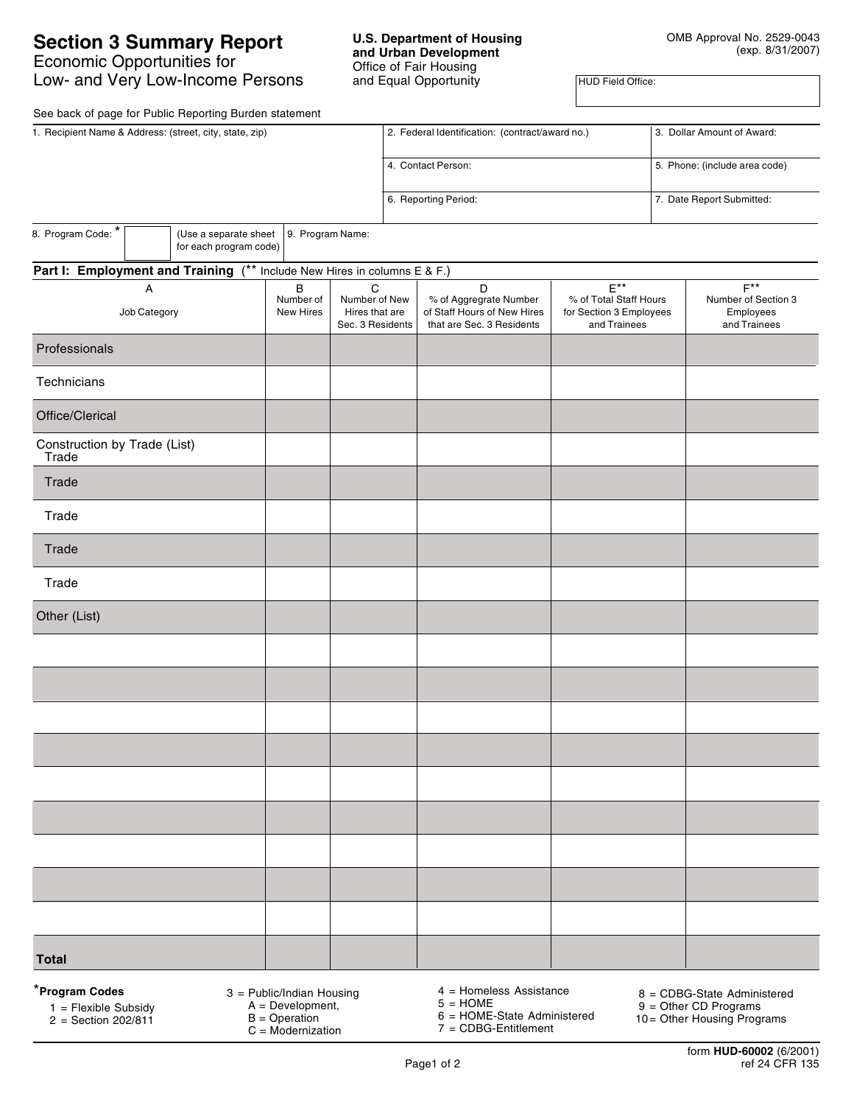# **Section 3 Summary Report** Economic Opportunities for Low- and Very Low-Income Persons

## **U.S. Department of Housing and Urban Development** Office of Fair Housing and Equal Opportunity

HUD Field Office:

See back of page for Public Reporting Burden statement

| occident of page for I done Hopotang Bardon Statement<br>1. Recipient Name & Address: (street, city, state, zip) |  |                                                 |                                                          |                    | 2. Federal Identification: (contract/award no.)                                         |                                                                                       |                               | 3. Dollar Amount of Award:                                           |                           |  |  |
|------------------------------------------------------------------------------------------------------------------|--|-------------------------------------------------|----------------------------------------------------------|--------------------|-----------------------------------------------------------------------------------------|---------------------------------------------------------------------------------------|-------------------------------|----------------------------------------------------------------------|---------------------------|--|--|
|                                                                                                                  |  |                                                 |                                                          | 4. Contact Person: |                                                                                         |                                                                                       | 5. Phone: (include area code) |                                                                      |                           |  |  |
|                                                                                                                  |  |                                                 |                                                          |                    |                                                                                         | 6. Reporting Period:                                                                  |                               |                                                                      | 7. Date Report Submitted: |  |  |
| 8. Program Code: *                                                                                               |  | (Use a separate sheet<br>for each program code) | 9. Program Name:                                         |                    |                                                                                         |                                                                                       |                               |                                                                      |                           |  |  |
| Part I: Employment and Training (** Include New Hires in columns E & F.)                                         |  |                                                 |                                                          |                    |                                                                                         |                                                                                       |                               |                                                                      |                           |  |  |
| A<br>Job Category                                                                                                |  | B<br>Number of<br>New Hires                     | C<br>Number of New<br>Hires that are<br>Sec. 3 Residents |                    | D<br>% of Aggregrate Number<br>of Staff Hours of New Hires<br>that are Sec. 3 Residents | $E^{\star\star}$<br>% of Total Staff Hours<br>for Section 3 Employees<br>and Trainees |                               | $F^{\star\star}$<br>Number of Section 3<br>Employees<br>and Trainees |                           |  |  |
| Professionals                                                                                                    |  |                                                 |                                                          |                    |                                                                                         |                                                                                       |                               |                                                                      |                           |  |  |
| Technicians                                                                                                      |  |                                                 |                                                          |                    |                                                                                         |                                                                                       |                               |                                                                      |                           |  |  |
| Office/Clerical                                                                                                  |  |                                                 |                                                          |                    |                                                                                         |                                                                                       |                               |                                                                      |                           |  |  |
| Construction by Trade (List)<br>Trade                                                                            |  |                                                 |                                                          |                    |                                                                                         |                                                                                       |                               |                                                                      |                           |  |  |
| Trade                                                                                                            |  |                                                 |                                                          |                    |                                                                                         |                                                                                       |                               |                                                                      |                           |  |  |
| Trade                                                                                                            |  |                                                 |                                                          |                    |                                                                                         |                                                                                       |                               |                                                                      |                           |  |  |
| Trade                                                                                                            |  |                                                 |                                                          |                    |                                                                                         |                                                                                       |                               |                                                                      |                           |  |  |
| Trade                                                                                                            |  |                                                 |                                                          |                    |                                                                                         |                                                                                       |                               |                                                                      |                           |  |  |
| Other (List)                                                                                                     |  |                                                 |                                                          |                    |                                                                                         |                                                                                       |                               |                                                                      |                           |  |  |
|                                                                                                                  |  |                                                 |                                                          |                    |                                                                                         |                                                                                       |                               |                                                                      |                           |  |  |
|                                                                                                                  |  |                                                 |                                                          |                    |                                                                                         |                                                                                       |                               |                                                                      |                           |  |  |
|                                                                                                                  |  |                                                 |                                                          |                    |                                                                                         |                                                                                       |                               |                                                                      |                           |  |  |
|                                                                                                                  |  |                                                 |                                                          |                    |                                                                                         |                                                                                       |                               |                                                                      |                           |  |  |
|                                                                                                                  |  |                                                 |                                                          |                    |                                                                                         |                                                                                       |                               |                                                                      |                           |  |  |
|                                                                                                                  |  |                                                 |                                                          |                    |                                                                                         |                                                                                       |                               |                                                                      |                           |  |  |
|                                                                                                                  |  |                                                 |                                                          |                    |                                                                                         |                                                                                       |                               |                                                                      |                           |  |  |
|                                                                                                                  |  |                                                 |                                                          |                    |                                                                                         |                                                                                       |                               |                                                                      |                           |  |  |
|                                                                                                                  |  |                                                 |                                                          |                    |                                                                                         |                                                                                       |                               |                                                                      |                           |  |  |
| <b>Total</b>                                                                                                     |  |                                                 |                                                          |                    |                                                                                         |                                                                                       |                               |                                                                      |                           |  |  |

\***Program Codes**

 $1$  = Flexible Subsidy  $2 =$  Section 202/811 3 = Public/Indian Housing

- A = Development,
- $B =$ Operation
- C = Modernization

4 = Homeless Assistance  $5 = HOME$ 

Page1 of 2

8 = CDBG-State Administered

10 = Other Housing Programs

6 = HOME-State Administered 7 = CDBG-Entitlement

9 = Other CD Programs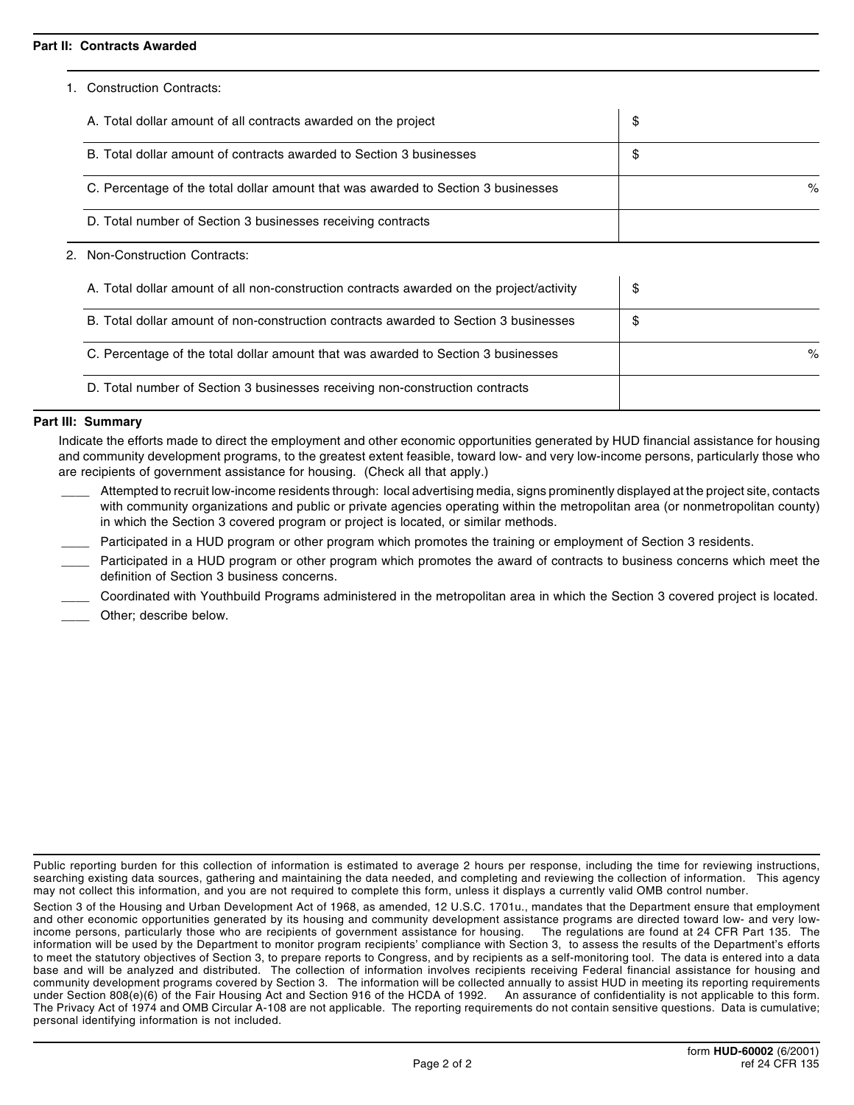## **Part II: Contracts Awarded**

1. Construction Contracts:

| A. Total dollar amount of all contracts awarded on the project                    | \$   |
|-----------------------------------------------------------------------------------|------|
| B. Total dollar amount of contracts awarded to Section 3 businesses               | \$   |
| C. Percentage of the total dollar amount that was awarded to Section 3 businesses | $\%$ |
| D. Total number of Section 3 businesses receiving contracts                       |      |

## 2. Non-Construction Contracts:

| A. Total dollar amount of all non-construction contracts awarded on the project/activity | \$   |
|------------------------------------------------------------------------------------------|------|
| B. Total dollar amount of non-construction contracts awarded to Section 3 businesses     | \$   |
| C. Percentage of the total dollar amount that was awarded to Section 3 businesses        | $\%$ |
| D. Total number of Section 3 businesses receiving non-construction contracts             |      |

## **Part III: Summary**

Indicate the efforts made to direct the employment and other economic opportunities generated by HUD financial assistance for housing and community development programs, to the greatest extent feasible, toward low- and very low-income persons, particularly those who are recipients of government assistance for housing. (Check all that apply.)

- Attempted to recruit low-income residents through: local advertising media, signs prominently displayed at the project site, contacts with community organizations and public or private agencies operating within the metropolitan area (or nonmetropolitan county) in which the Section 3 covered program or project is located, or similar methods.
- Participated in a HUD program or other program which promotes the training or employment of Section 3 residents.
- Participated in a HUD program or other program which promotes the award of contracts to business concerns which meet the definition of Section 3 business concerns.
- \_\_\_\_ Coordinated with Youthbuild Programs administered in the metropolitan area in which the Section 3 covered project is located.
- Other; describe below.

Public reporting burden for this collection of information is estimated to average 2 hours per response, including the time for reviewing instructions, searching existing data sources, gathering and maintaining the data needed, and completing and reviewing the collection of information. This agency may not collect this information, and you are not required to complete this form, unless it displays a currently valid OMB control number.

Section 3 of the Housing and Urban Development Act of 1968, as amended, 12 U.S.C. 1701u., mandates that the Department ensure that employment and other economic opportunities generated by its housing and community development assistance programs are directed toward low- and very low-<br>income persons, particularly those who are recipients of government assistance income persons, particularly those who are recipients of government assistance for housing. information will be used by the Department to monitor program recipients' compliance with Section 3, to assess the results of the Department's efforts to meet the statutory objectives of Section 3, to prepare reports to Congress, and by recipients as a self-monitoring tool. The data is entered into a data base and will be analyzed and distributed. The collection of information involves recipients receiving Federal financial assistance for housing and community development programs covered by Section 3. The information will be collected annually to assist HUD in meeting its reporting requirements under Section 808(e)(6) of the Fair Housing Act and Section 916 of the HCDA of 1992. An assurance of confidentiality is not applicable to this form. The Privacy Act of 1974 and OMB Circular A-108 are not applicable. The reporting requirements do not contain sensitive questions. Data is cumulative; personal identifying information is not included.